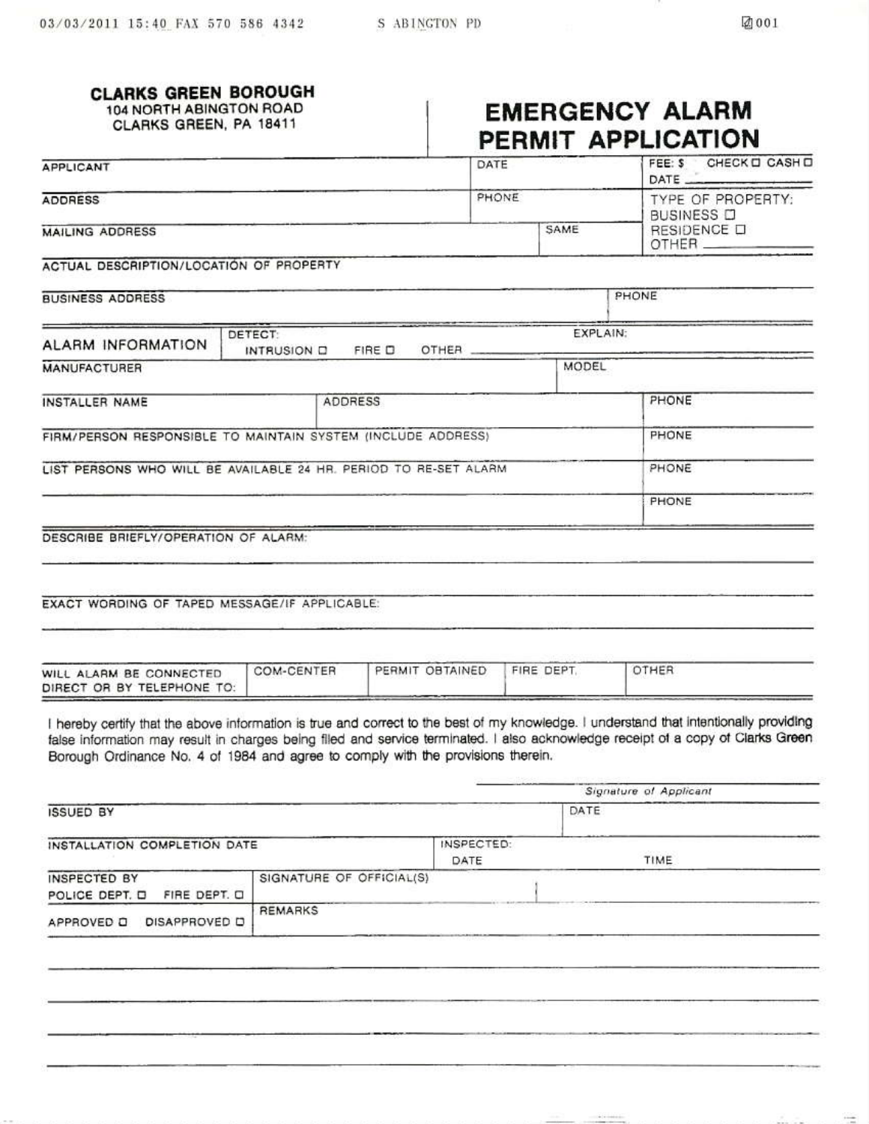### **CLARKS GREEN BOROUGH**

104 NORTH ABINGTON ROAD CLARKS GREEN, PA 18411

# **EMERGENCY ALARM** PERMIT APPLICATION

| <b>APPLICANT</b>                                             |                                                                  | DATE  |                                        | FEE: \$ CHECK O CASH O<br>DATE |
|--------------------------------------------------------------|------------------------------------------------------------------|-------|----------------------------------------|--------------------------------|
| <b>ADDRESS</b>                                               | PHONE                                                            |       | TYPE OF PROPERTY:<br><b>BUSINESS D</b> |                                |
| <b>MAILING ADDRESS</b>                                       |                                                                  | SAME  | RESIDENCE O                            |                                |
| ACTUAL DESCRIPTION/LOCATION OF PROPERTY                      |                                                                  |       |                                        |                                |
| <b>BUSINESS ADDRESS</b>                                      |                                                                  |       | PHONE                                  |                                |
| <b>ALARM INFORMATION</b>                                     | DETECT:<br>INTRUSION D FIRE D                                    | OTHER | EXPLAIN:                               |                                |
| <b>MANUFACTURER</b>                                          |                                                                  |       | MODEL                                  |                                |
| INSTALLER NAME                                               | <b>ADDRESS</b>                                                   |       |                                        | PHONE                          |
| FIRM/PERSON RESPONSIBLE TO MAINTAIN SYSTEM (INCLUDE ADDRESS) |                                                                  |       | PHONE                                  |                                |
|                                                              | LIST PERSONS WHO WILL BE AVAILABLE 24 HR. PERIOD TO RE-SET ALARM |       |                                        | PHONE                          |
|                                                              |                                                                  |       |                                        | PHONE                          |
| DESCRIBE BRIEFLY/OPERATION OF ALARM:                         |                                                                  |       |                                        |                                |
|                                                              |                                                                  |       |                                        |                                |
|                                                              |                                                                  |       |                                        |                                |

EXACT WORDING OF TAPED MESSAGE/IF APPLICABLE:

| WILL ALARM BE CONNECTED<br>DIRECT OR BY TELEPHONE TO: | COM-CENTER | PERMIT OBTAINED | FIRE DEPT | <b>OTHER</b> |  |
|-------------------------------------------------------|------------|-----------------|-----------|--------------|--|
|-------------------------------------------------------|------------|-----------------|-----------|--------------|--|

I hereby certify that the above information is true and correct to the best of my knowledge. I understand that intentionally providing false information may result in charges being filed and service terminated. I also acknowledge receipt of a copy of Clarks Green Borough Ordinance No. 4 of 1984 and agree to comply with the provisions therein.

|                                                |                          |                    | Signature of Applicant    |
|------------------------------------------------|--------------------------|--------------------|---------------------------|
| <b>ISSUED BY</b>                               |                          |                    | DATE                      |
| INSTALLATION COMPLETION DATE                   |                          | INSPECTED:<br>DATE | Sabiriche Diretto<br>TIME |
| INSPECTED BY<br>FIRE DEPT. O<br>POLICE DEPT. D | SIGNATURE OF OFFICIAL(S) |                    |                           |
| DISAPPROVED D<br>APPROVED D                    | <b>REMARKS</b>           |                    |                           |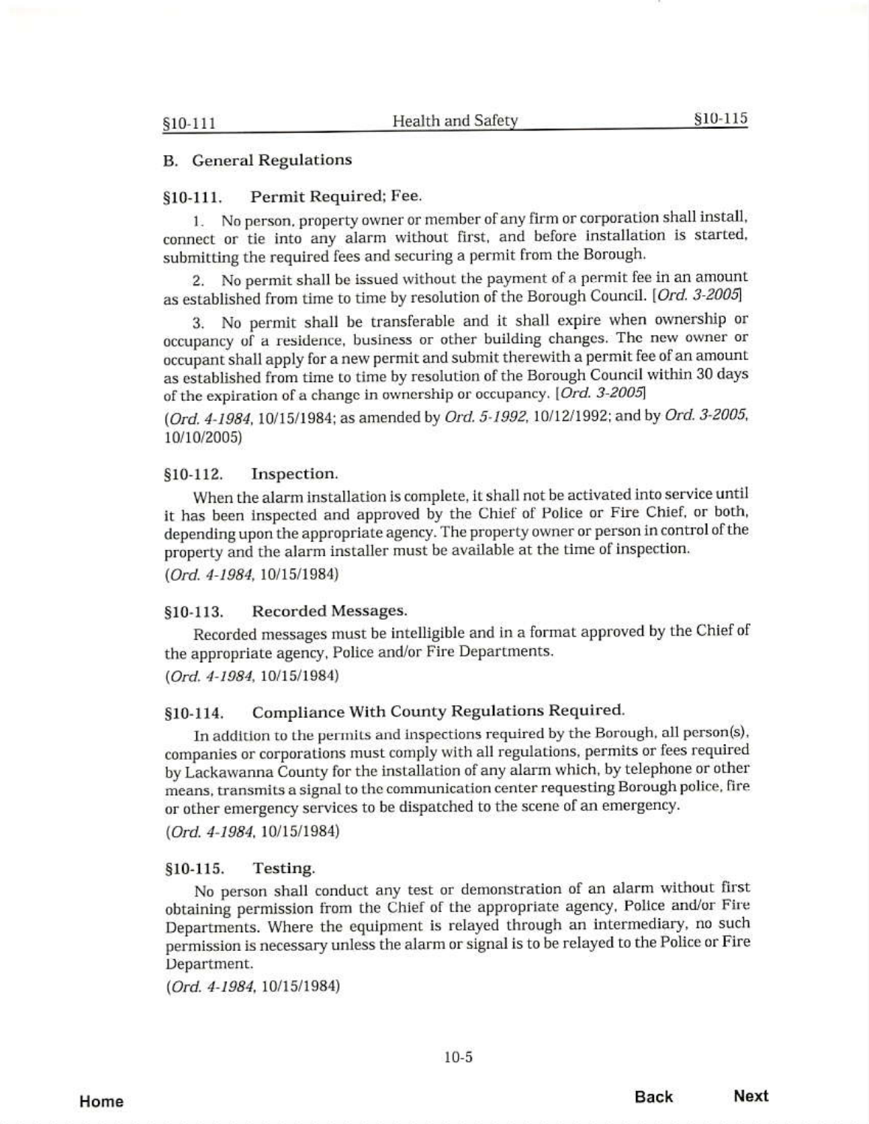### **B.** General Regulations

#### Permit Required; Fee.  $$10-111.$

No person, property owner or member of any firm or corporation shall install,  $1.$ connect or tie into any alarm without first, and before installation is started, submitting the required fees and securing a permit from the Borough.

No permit shall be issued without the payment of a permit fee in an amount 2. as established from time to time by resolution of the Borough Council. [Ord. 3-2005]

No permit shall be transferable and it shall expire when ownership or 3. occupancy of a residence, business or other building changes. The new owner or occupant shall apply for a new permit and submit therewith a permit fee of an amount as established from time to time by resolution of the Borough Council within 30 days of the expiration of a change in ownership or occupancy. [Ord. 3-2005]

(Ord. 4-1984, 10/15/1984; as amended by Ord. 5-1992, 10/12/1992; and by Ord. 3-2005, 10/10/2005)

#### $$10-112.$ Inspection.

When the alarm installation is complete, it shall not be activated into service until it has been inspected and approved by the Chief of Police or Fire Chief, or both, depending upon the appropriate agency. The property owner or person in control of the property and the alarm installer must be available at the time of inspection. (Ord. 4-1984, 10/15/1984)

\$10-113. Recorded Messages.

Recorded messages must be intelligible and in a format approved by the Chief of the appropriate agency, Police and/or Fire Departments.

 $(Ord. 4-1984, 10/15/1984)$ 

#### Compliance With County Regulations Required. §10-114.

In addition to the permits and inspections required by the Borough, all person(s), companies or corporations must comply with all regulations, permits or fees required by Lackawanna County for the installation of any alarm which, by telephone or other means, transmits a signal to the communication center requesting Borough police, fire or other emergency services to be dispatched to the scene of an emergency.

 $(Ord. 4-1984, 10/15/1984)$ 

#### $$10-115.$ Testing.

No person shall conduct any test or demonstration of an alarm without first obtaining permission from the Chief of the appropriate agency, Police and/or Fire Departments. Where the equipment is relayed through an intermediary, no such permission is necessary unless the alarm or signal is to be relayed to the Police or Fire Department.

(Ord. 4-1984, 10/15/1984)

 $10-5$ 

Home

**Back** Next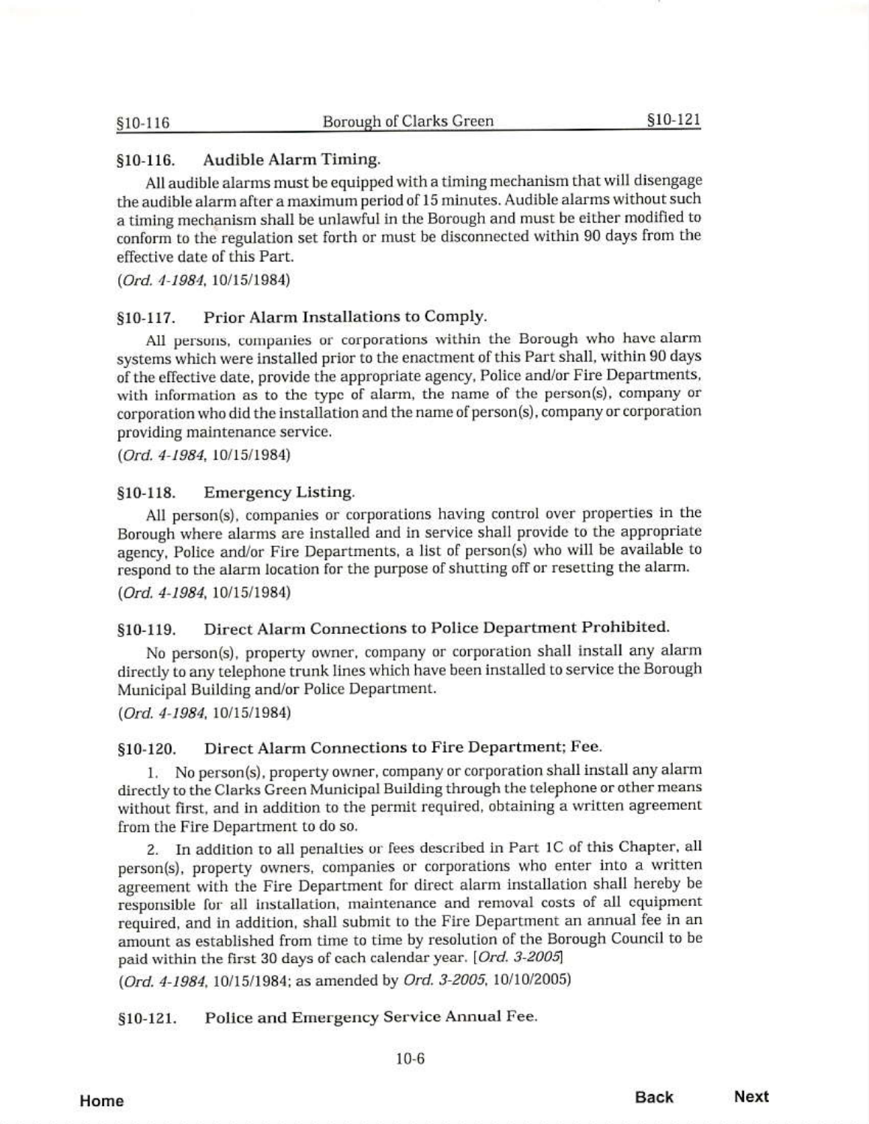§10-116

#### Audible Alarm Timing.  $$10-116.$

All audible alarms must be equipped with a timing mechanism that will disengage the audible alarm after a maximum period of 15 minutes. Audible alarms without such a timing mechanism shall be unlawful in the Borough and must be either modified to conform to the regulation set forth or must be disconnected within 90 days from the effective date of this Part.

 $(Ord. 4-1984, 10/15/1984)$ 

#### Prior Alarm Installations to Comply.  $$10-117.$

All persons, companies or corporations within the Borough who have alarm systems which were installed prior to the enactment of this Part shall, within 90 days of the effective date, provide the appropriate agency, Police and/or Fire Departments, with information as to the type of alarm, the name of the person(s), company or corporation who did the installation and the name of person(s), company or corporation providing maintenance service.

 $(Ord. 4-1984. 10/15/1984)$ 

#### $$10-118.$ **Emergency Listing.**

All person(s), companies or corporations having control over properties in the Borough where alarms are installed and in service shall provide to the appropriate agency, Police and/or Fire Departments, a list of person(s) who will be available to respond to the alarm location for the purpose of shutting off or resetting the alarm.  $(Ord. 4-1984, 10/15/1984)$ 

#### Direct Alarm Connections to Police Department Prohibited.  $$10-119.$

No person(s), property owner, company or corporation shall install any alarm directly to any telephone trunk lines which have been installed to service the Borough Municipal Building and/or Police Department.

(Ord. 4-1984, 10/15/1984)

#### Direct Alarm Connections to Fire Department; Fee. §10-120.

1. No person(s), property owner, company or corporation shall install any alarm directly to the Clarks Green Municipal Building through the telephone or other means without first, and in addition to the permit required, obtaining a written agreement from the Fire Department to do so.

2. In addition to all penalties or fees described in Part 1C of this Chapter, all person(s), property owners, companies or corporations who enter into a written agreement with the Fire Department for direct alarm installation shall hereby be responsible for all installation, maintenance and removal costs of all equipment required, and in addition, shall submit to the Fire Department an annual fee in an amount as established from time to time by resolution of the Borough Council to be paid within the first 30 days of each calendar year. [Ord. 3-2005]

(Ord. 4-1984, 10/15/1984; as amended by Ord. 3-2005, 10/10/2005)

Police and Emergency Service Annual Fee. \$10-121.

Home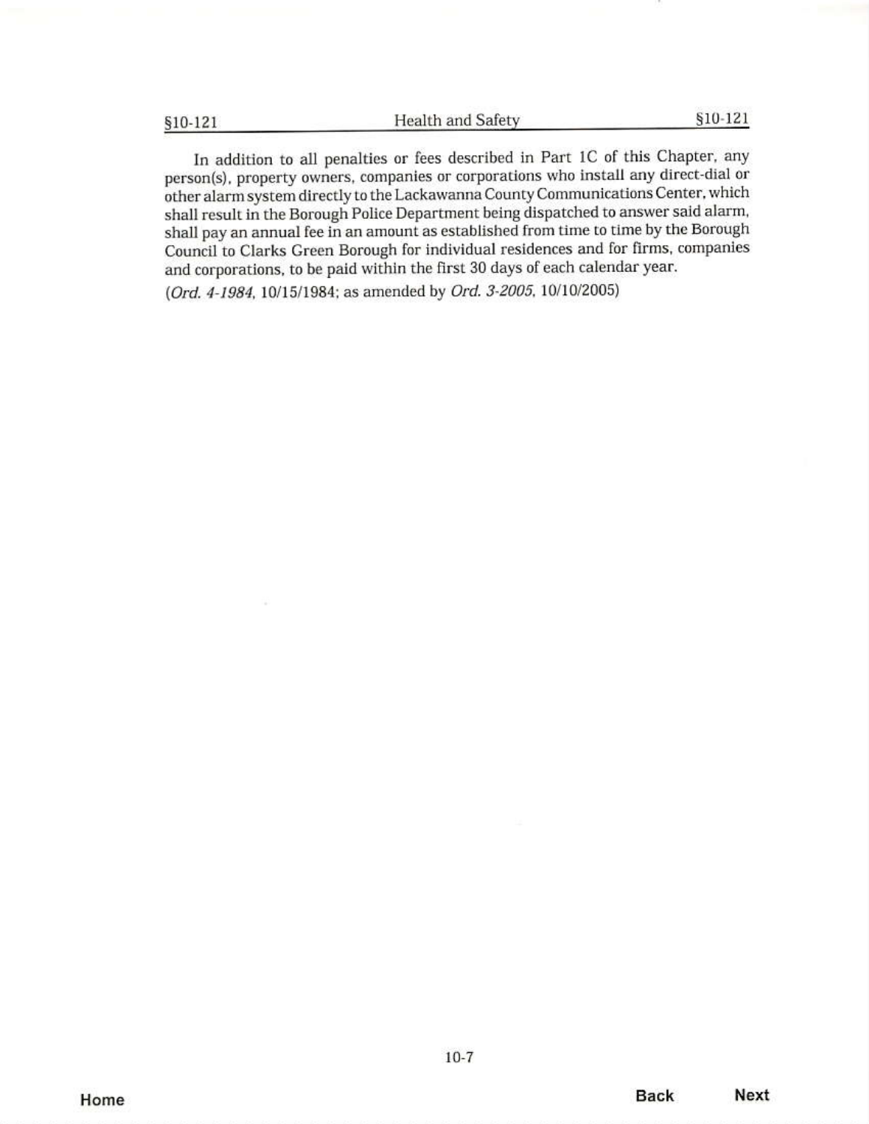§10-121

In addition to all penalties or fees described in Part 1C of this Chapter, any person(s), property owners, companies or corporations who install any direct-dial or other alarm system directly to the Lackawanna County Communications Center, which shall result in the Borough Police Department being dispatched to answer said alarm, shall pay an annual fee in an amount as established from time to time by the Borough Council to Clarks Green Borough for individual residences and for firms, companies and corporations, to be paid within the first 30 days of each calendar year.

(Ord. 4-1984, 10/15/1984; as amended by Ord. 3-2005, 10/10/2005)

Home

 $10-7$ 

**Back**